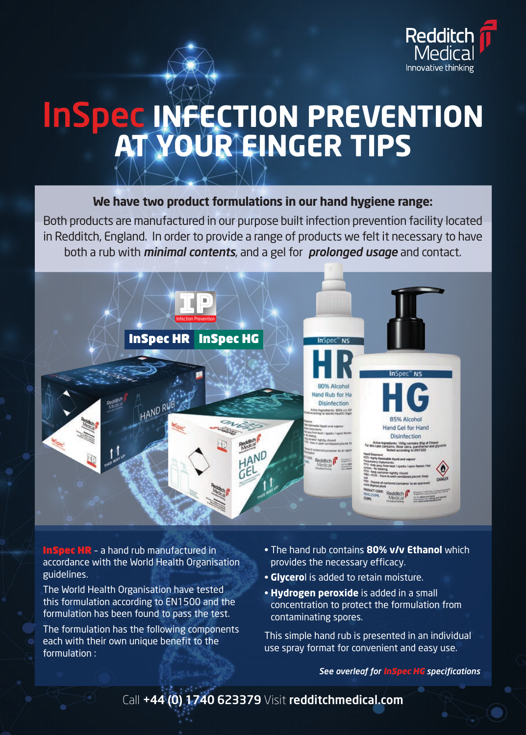

# InSpec **INFECTION PREVENTION AT YOUR FINGER TIPS**

#### **We have two product formulations in our hand hygiene range:**

Both products are manufactured in our purpose built infection prevention facility located in Redditch, England. In order to provide a range of products we felt it necessary to have both a rub with *minimal contents*, and a gel for *prolonged usage* and contact.



InSpec HR – a hand rub manufactured in accordance with the World Health Organisation guidelines.

The World Health Organisation have tested this formulation according to EN1500 and the formulation has been found to pass the test.

The formulation has the following components each with their own unique benefit to the formulation :

- The hand rub contains **80% v/v Ethanol** which provides the necessary efficacy.
- **Glycero**l is added to retain moisture.
- **Hydrogen peroxide** is added in a small concentration to protect the formulation from contaminating spores.

This simple hand rub is presented in an individual use spray format for convenient and easy use.

*See overleaf for InSpec HG specifications*

Call +44 (0) 1740 623379 Visit redditchmedical.com